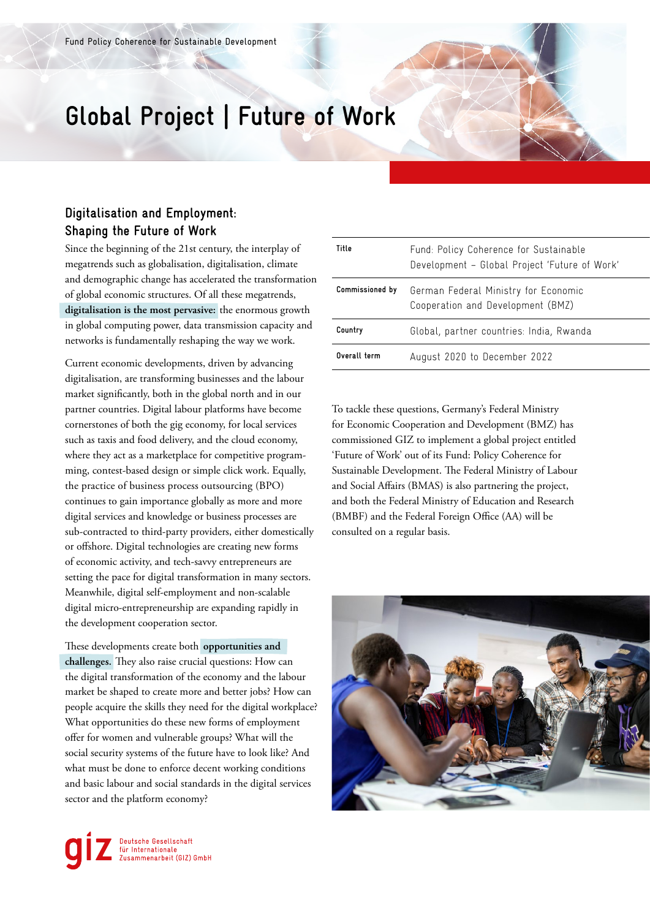## **Global Project | Future of Work**

## **Digitalisation and Employment: Shaping the Future of Work**

Since the beginning of the 21st century, the interplay of megatrends such as globalisation, digitalisation, climate and demographic change has accelerated the transformation of global economic structures. Of all these megatrends, **digitalisation is the most pervasive:** the enormous growth in global computing power, data transmission capacity and networks is fundamentally reshaping the way we work.

Current economic developments, driven by advancing digitalisation, are transforming businesses and the labour market significantly, both in the global north and in our partner countries. Digital labour platforms have become cornerstones of both the gig economy, for local services such as taxis and food delivery, and the cloud economy, where they act as a marketplace for competitive programming, contest-based design or simple click work. Equally, the practice of business process outsourcing (BPO) continues to gain importance globally as more and more digital services and knowledge or business processes are sub-contracted to third-party providers, either domestically or offshore. Digital technologies are creating new forms of economic activity, and tech-savvy entrepreneurs are setting the pace for digital transformation in many sectors. Meanwhile, digital self-employment and non-scalable digital micro-entrepreneurship are expanding rapidly in the development cooperation sector.

These developments create both **opportunities and challenges.** They also raise crucial questions: How can the digital transformation of the economy and the labour market be shaped to create more and better jobs? How can people acquire the skills they need for the digital workplace? What opportunities do these new forms of employment offer for women and vulnerable groups? What will the social security systems of the future have to look like? And what must be done to enforce decent working conditions and basic labour and social standards in the digital services sector and the platform economy?

| Title           | Fund: Policy Coherence for Sustainable<br>Development - Global Project 'Future of Work' |
|-----------------|-----------------------------------------------------------------------------------------|
| Commissioned by | German Federal Ministry for Economic<br>Cooperation and Development (BMZ)               |
| Country         | Global, partner countries: India, Rwanda                                                |
| Overall term    | August 2020 to December 2022                                                            |

To tackle these questions, Germany's Federal Ministry for Economic Cooperation and Development (BMZ) has commissioned GIZ to implement a global project entitled 'Future of Work' out of its Fund: Policy Coherence for Sustainable Development. The Federal Ministry of Labour and Social Affairs (BMAS) is also partnering the project, and both the Federal Ministry of Education and Research (BMBF) and the Federal Foreign Office (AA) will be consulted on a regular basis.



Deutsche Gesellschaft<br>für Internationale<br>Zusammenarbeit (GIZ) GmbH